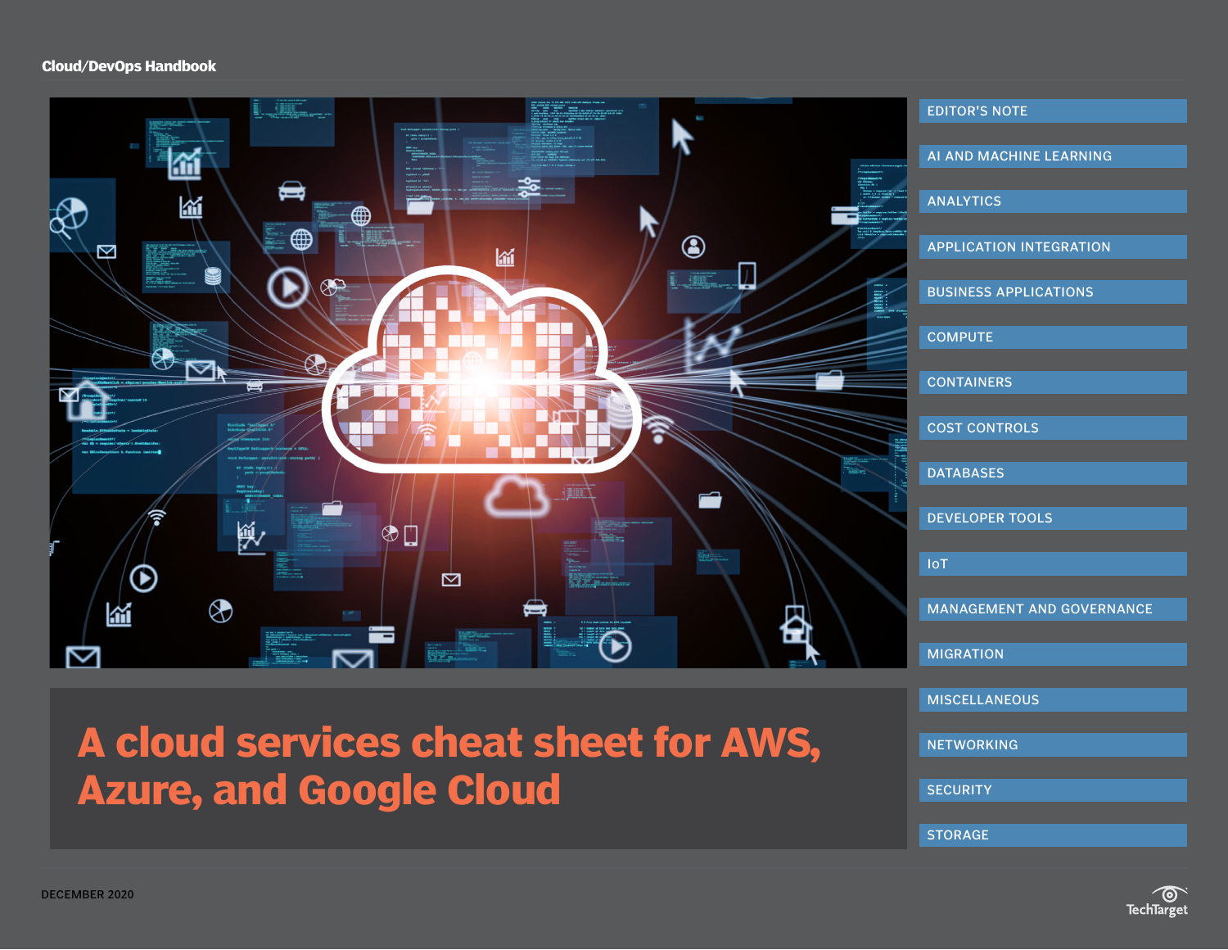<span id="page-0-0"></span>

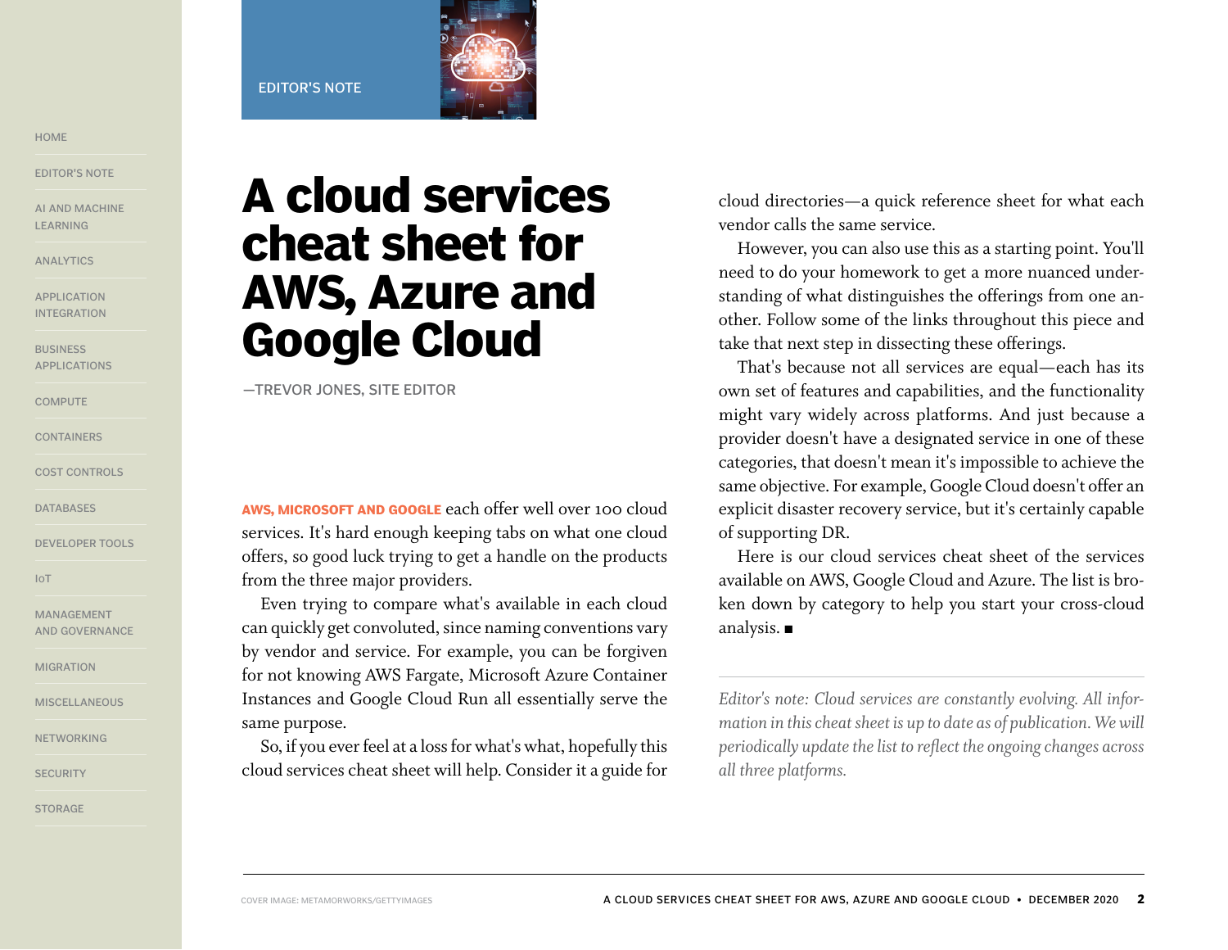#### EDITOR'S NOTE



<span id="page-1-0"></span>[HOME](#page-0-0)

EDITOR'S NOTE

[AI AND MACHINE](#page-2-0)  [LEARNING](#page-2-0)

[ANALYTICS](#page-3-0)

[APPLICATION](#page-4-0)  [INTEGRATION](#page-4-0)

**BUSINESS** [APPLICATIONS](#page-5-0)

**[COMPUTE](#page-5-0)** 

**[CONTAINERS](#page-6-0)** 

[COST CONTROLS](#page-7-0)

**[DATABASES](#page-7-0)** 

[DEVELOPER TOOLS](#page-8-0)

[IoT](#page-9-0)

[MANAGEMENT](#page-9-0)  [AND GOVERNANCE](#page-9-0)

[MIGRATION](#page-10-0)

[MISCELLANEOUS](#page-11-0)

[NETWORKING](#page-12-0)

**[SECURITY](#page-13-0)** 

[STORAGE](#page-15-0)

# **A cloud services cheat sheet for AWS, Azure and Google Cloud**

—TREVOR JONES, SITE EDITOR

**AWS, MICROSOFT AND GOOGLE** each offer well over 100 cloud services. It's hard enough keeping tabs on what one cloud offers, so good luck trying to get a handle on the products from the three major providers.

Even trying to compare what's available in each cloud can quickly get convoluted, since naming conventions vary by vendor and service. For example, you can be forgiven for not knowing AWS Fargate, Microsoft Azure Container Instances and Google Cloud Run all essentially serve the same purpose.

So, if you ever feel at a loss for what's what, hopefully this cloud services cheat sheet will help. Consider it a guide for cloud directories—a quick reference sheet for what each vendor calls the same service.

However, you can also use this as a starting point. You'll need to do your homework to get a more nuanced understanding of what distinguishes the offerings from one another. Follow some of the links throughout this piece and take that next step in dissecting these offerings.

That's because not all services are equal—each has its own set of features and capabilities, and the functionality might vary widely across platforms. And just because a provider doesn't have a designated service in one of these categories, that doesn't mean it's impossible to achieve the same objective. For example, Google Cloud doesn't offer an explicit disaster recovery service, but it's certainly capable of supporting DR.

Here is our cloud services cheat sheet of the services available on AWS, Google Cloud and Azure. The list is broken down by category to help you start your cross-cloud analysis.  $\blacksquare$ 

*Editor's note: Cloud services are constantly evolving. All information in this cheat sheet is up to date as of publication. We will periodically update the list to reflect the ongoing changes across all three platforms.*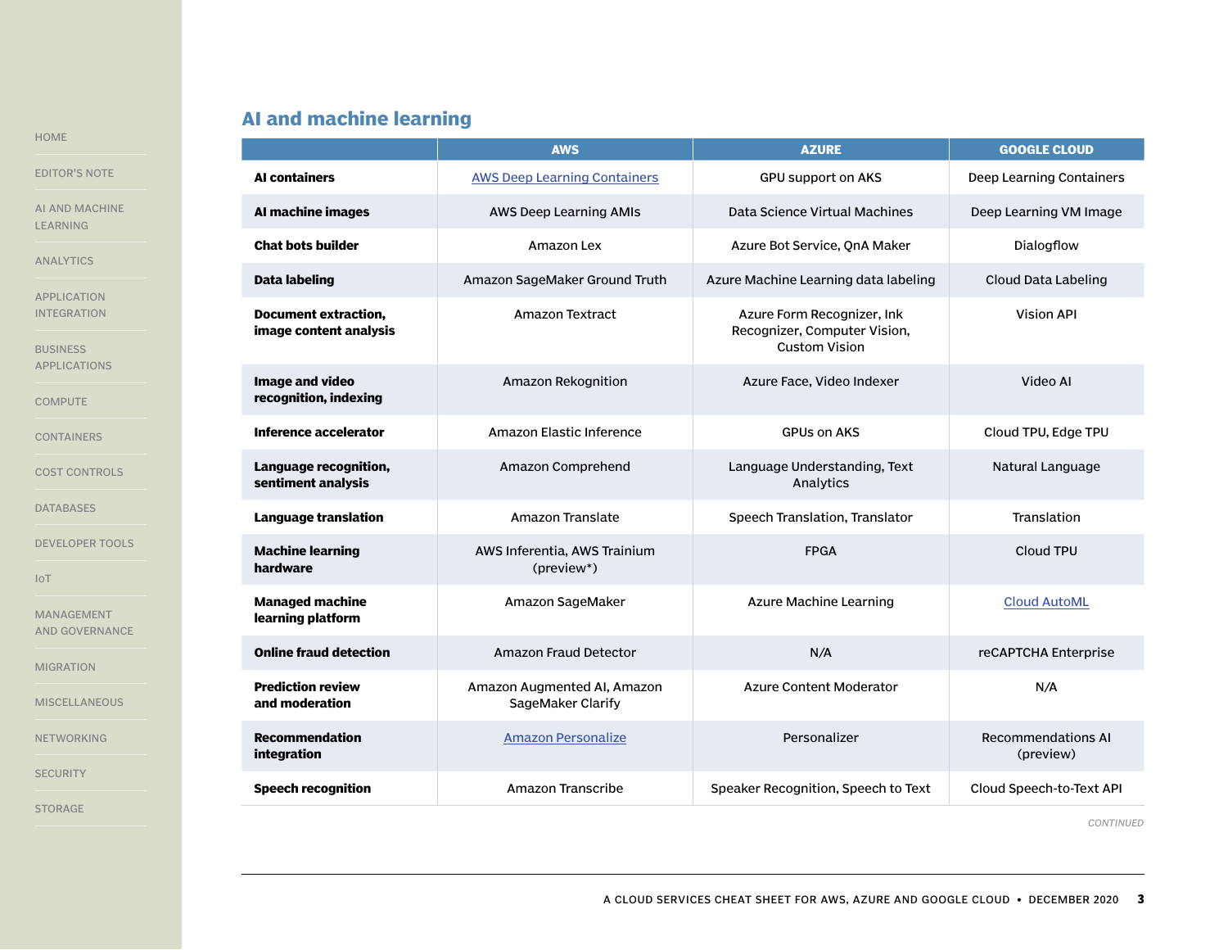# **AI and machine learning**

|                                                             |                                                       | <b>AWS</b>                                       | <b>AZURE</b>                                                                       | <b>GOOGLE CLOUD</b>                    |
|-------------------------------------------------------------|-------------------------------------------------------|--------------------------------------------------|------------------------------------------------------------------------------------|----------------------------------------|
| <b>EDITOR'S NOTE</b>                                        | <b>AI containers</b>                                  | <b>AWS Deep Learning Containers</b>              | <b>GPU support on AKS</b>                                                          | Deep Learning Containers               |
| AI AND MACHINE<br><b>LEARNING</b>                           | AI machine images                                     | AWS Deep Learning AMIs                           | Data Science Virtual Machines                                                      | Deep Learning VM Image                 |
| <b>ANALYTICS</b>                                            | <b>Chat bots builder</b>                              | Amazon Lex                                       | Azure Bot Service, QnA Maker                                                       | Dialogflow                             |
|                                                             | Data labeling                                         | Amazon SageMaker Ground Truth                    | Azure Machine Learning data labeling                                               | Cloud Data Labeling                    |
| <b>APPLICATION</b><br><b>INTEGRATION</b><br><b>BUSINESS</b> | <b>Document extraction,</b><br>image content analysis | <b>Amazon Textract</b>                           | Azure Form Recognizer, Ink<br>Recognizer, Computer Vision,<br><b>Custom Vision</b> | <b>Vision API</b>                      |
| <b>APPLICATIONS</b><br><b>COMPUTE</b>                       | Image and video<br>recognition, indexing              | Amazon Rekognition                               | Azure Face, Video Indexer                                                          | Video AI                               |
| <b>CONTAINERS</b>                                           | Inference accelerator                                 | Amazon Elastic Inference                         | <b>GPUs on AKS</b>                                                                 | Cloud TPU, Edge TPU                    |
| <b>COST CONTROLS</b>                                        | Language recognition,<br>sentiment analysis           | Amazon Comprehend                                | Language Understanding, Text<br>Analytics                                          | Natural Language                       |
| <b>DATABASES</b>                                            | <b>Language translation</b>                           | Amazon Translate                                 | Speech Translation, Translator                                                     | Translation                            |
| <b>DEVELOPER TOOLS</b><br>IoT                               | <b>Machine learning</b><br>hardware                   | AWS Inferentia, AWS Trainium<br>(preview*)       | <b>FPGA</b>                                                                        | Cloud TPU                              |
| <b>MANAGEMENT</b><br><b>AND GOVERNANCE</b>                  | <b>Managed machine</b><br>learning platform           | Amazon SageMaker                                 | Azure Machine Learning                                                             | <b>Cloud AutoML</b>                    |
| <b>MIGRATION</b>                                            | <b>Online fraud detection</b>                         | <b>Amazon Fraud Detector</b>                     | N/A                                                                                | reCAPTCHA Enterprise                   |
| <b>MISCELLANEOUS</b>                                        | <b>Prediction review</b><br>and moderation            | Amazon Augmented AI, Amazon<br>SageMaker Clarify | <b>Azure Content Moderator</b>                                                     | N/A                                    |
| <b>NETWORKING</b>                                           | <b>Recommendation</b><br>integration                  | <b>Amazon Personalize</b>                        | Personalizer                                                                       | <b>Recommendations AI</b><br>(preview) |
| <b>SECURITY</b>                                             | <b>Speech recognition</b>                             | <b>Amazon Transcribe</b>                         | Speaker Recognition, Speech to Text                                                | Cloud Speech-to-Text API               |
| <b>STORAGE</b>                                              |                                                       |                                                  |                                                                                    |                                        |

<span id="page-2-0"></span>[HOME](#page-0-0)

A CLOUD SERVICES CHEAT SHEET FOR AWS, AZURE AND GOOGLE CLOUD • DECEMBER 2020 **3**

*CONTINUED*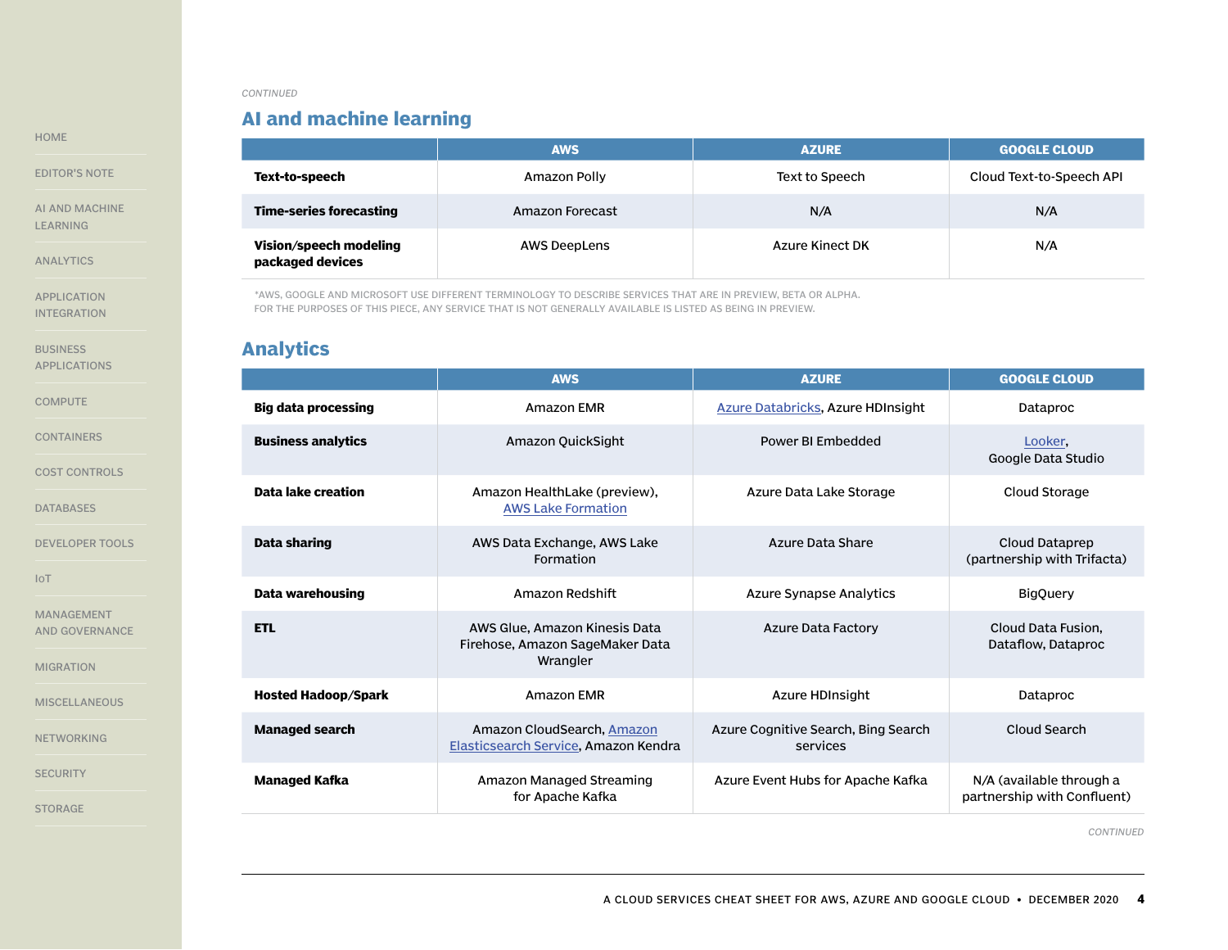# **AI and machine learning**

|                                            | <b>AWS</b>          | <b>AZURE</b>    | <b>GOOGLE CLOUD</b>      |
|--------------------------------------------|---------------------|-----------------|--------------------------|
| Text-to-speech                             | Amazon Polly        | Text to Speech  | Cloud Text-to-Speech API |
| <b>Time-series forecasting</b>             | Amazon Forecast     | N/A             | N/A                      |
| Vision/speech modeling<br>packaged devices | <b>AWS DeepLens</b> | Azure Kinect DK | N/A                      |

\*AWS, GOOGLE AND MICROSOFT USE DIFFERENT TERMINOLOGY TO DESCRIBE SERVICES THAT ARE IN PREVIEW, BETA OR ALPHA. FOR THE PURPOSES OF THIS PIECE, ANY SERVICE THAT IS NOT GENERALLY AVAILABLE IS LISTED AS BEING IN PREVIEW.

### **Analytics**

|                            | <b>AWS</b>                                                                   | <b>AZURE</b>                                    | <b>GOOGLE CLOUD</b>                                     |
|----------------------------|------------------------------------------------------------------------------|-------------------------------------------------|---------------------------------------------------------|
| Big data processing        | <b>Amazon EMR</b>                                                            | <b>Azure Databricks, Azure HDInsight</b>        | Dataproc                                                |
| <b>Business analytics</b>  | Amazon QuickSight                                                            | Power BI Embedded                               | Looker,<br>Google Data Studio                           |
| Data lake creation         | Amazon HealthLake (preview),<br><b>AWS Lake Formation</b>                    | Azure Data Lake Storage                         | Cloud Storage                                           |
| Data sharing               | AWS Data Exchange, AWS Lake<br>Formation                                     | Azure Data Share                                | Cloud Dataprep<br>(partnership with Trifacta)           |
| Data warehousing           | Amazon Redshift                                                              | Azure Synapse Analytics                         | <b>BigQuery</b>                                         |
| <b>ETL</b>                 | AWS Glue, Amazon Kinesis Data<br>Firehose, Amazon SageMaker Data<br>Wrangler | Azure Data Factory                              | Cloud Data Fusion.<br>Dataflow, Dataproc                |
| <b>Hosted Hadoop/Spark</b> | Amazon FMR                                                                   | Azure HDInsight                                 | Dataproc                                                |
| <b>Managed search</b>      | Amazon CloudSearch, Amazon<br>Elasticsearch Service, Amazon Kendra           | Azure Cognitive Search, Bing Search<br>services | Cloud Search                                            |
| <b>Managed Kafka</b>       | Amazon Managed Streaming<br>for Apache Kafka                                 | Azure Event Hubs for Apache Kafka               | N/A (available through a<br>partnership with Confluent) |

*CONTINUED*

A CLOUD SERVICES CHEAT SHEET FOR AWS, AZURE AND GOOGLE CLOUD • DECEMBER 2020 **4**

<span id="page-3-0"></span>[HOME](#page-0-0)

[EDITOR'S NOTE](#page-1-0)

[AI AND MACHINE](#page-2-0)  [LEARNING](#page-2-0)

ANALYTICS

[APPLICATION](#page-4-0)  [INTEGRATION](#page-4-0)

**BUSINESS** [APPLICATIONS](#page-5-0)

**[COMPUTE](#page-5-0)** 

[CONTAINERS](#page-6-0)

[COST CONTROLS](#page-7-0)

[DATABASES](#page-7-0)

[DEVELOPER TOOLS](#page-8-0)

[IoT](#page-9-0)

[MANAGEMENT](#page-9-0)  [AND GOVERNANCE](#page-9-0)

[MIGRATION](#page-10-0)

**[MISCELLANEOUS](#page-11-0)** 

[NETWORKING](#page-12-0)

**[SECURITY](#page-13-0)**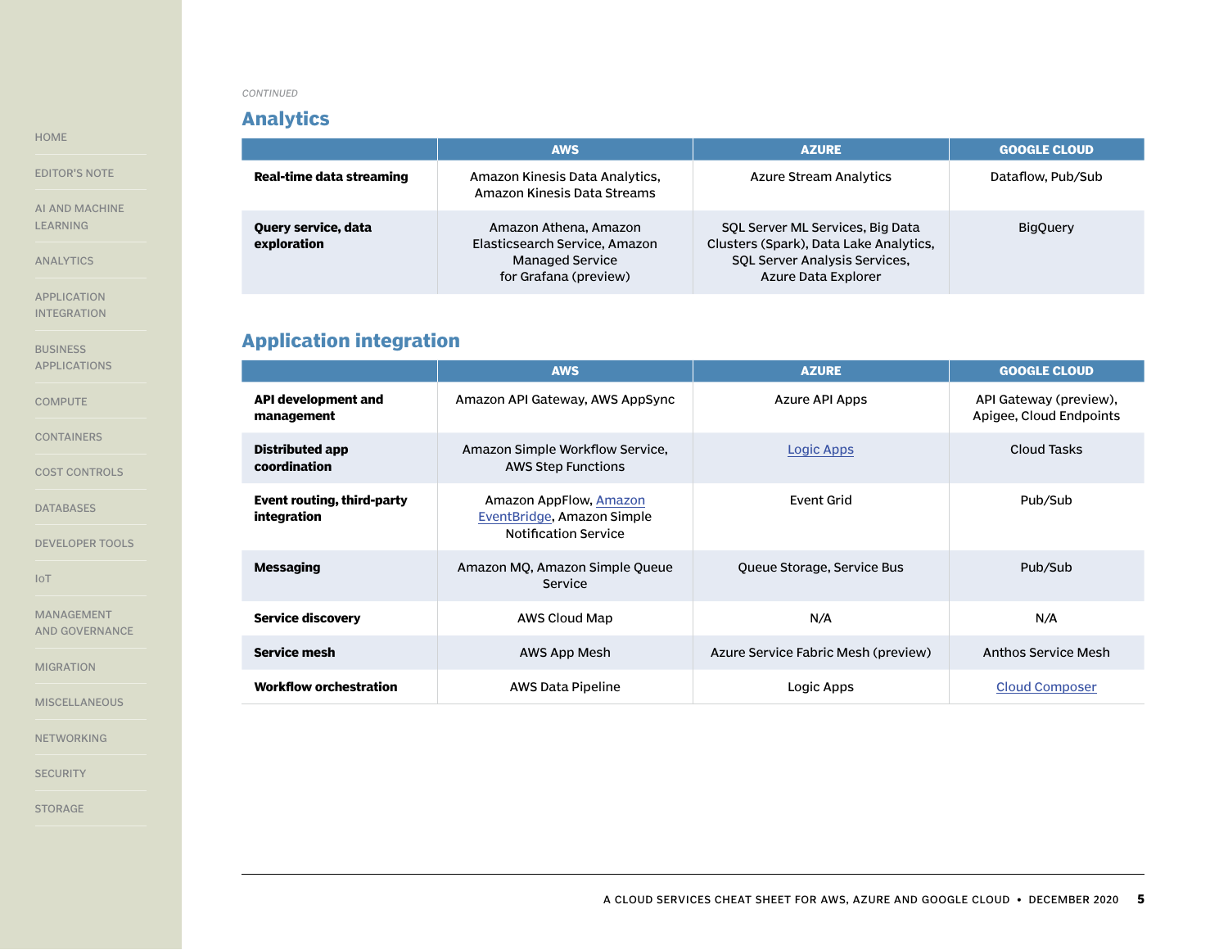### **Analytics**

<span id="page-4-0"></span>[HOME](#page-0-0)

[EDITOR'S NOTE](#page-1-0)

[AI AND MACHINE](#page-2-0)  [LEARNING](#page-2-0)

[ANALYTICS](#page-3-0)

APPLICATION INTEGRATION

**BUSINESS** [APPLICATIONS](#page-5-0)

**[COMPUTE](#page-5-0)** 

[CONTAINERS](#page-6-0)

[COST CONTROLS](#page-7-0)

[DATABASES](#page-7-0)

[DEVELOPER TOOLS](#page-8-0)

[IoT](#page-9-0)

[MANAGEMENT](#page-9-0)  [AND GOVERNANCE](#page-9-0)

[MIGRATION](#page-10-0)

**[MISCELLANEOUS](#page-11-0)** 

[NETWORKING](#page-12-0)

**[SECURITY](#page-13-0)** 

[STORAGE](#page-15-0)

|                                    | <b>AWS</b>                                                                                                | <b>AZURE</b>                                                                                                                              | <b>GOOGLE CLOUD</b> |
|------------------------------------|-----------------------------------------------------------------------------------------------------------|-------------------------------------------------------------------------------------------------------------------------------------------|---------------------|
| Real-time data streaming           | Amazon Kinesis Data Analytics,<br>Amazon Kinesis Data Streams                                             | <b>Azure Stream Analytics</b>                                                                                                             | Dataflow, Pub/Sub   |
| Query service, data<br>exploration | Amazon Athena, Amazon<br>Elasticsearch Service, Amazon<br><b>Managed Service</b><br>for Grafana (preview) | SOL Server ML Services, Big Data<br>Clusters (Spark), Data Lake Analytics,<br><b>SOL Server Analysis Services,</b><br>Azure Data Explorer | <b>BigOuery</b>     |

# **Application integration**

|                                           | <b>AWS</b>                                                                          | <b>AZURE</b>                        | <b>GOOGLE CLOUD</b>                               |
|-------------------------------------------|-------------------------------------------------------------------------------------|-------------------------------------|---------------------------------------------------|
| <b>API development and</b><br>management  | Amazon API Gateway, AWS AppSync                                                     | Azure API Apps                      | API Gateway (preview),<br>Apigee, Cloud Endpoints |
| Distributed app<br>coordination           | Amazon Simple Workflow Service,<br><b>AWS Step Functions</b>                        | Logic Apps                          | Cloud Tasks                                       |
| Event routing, third-party<br>integration | Amazon AppFlow, Amazon<br>EventBridge, Amazon Simple<br><b>Notification Service</b> | Event Grid                          | Pub/Sub                                           |
| <b>Messaging</b>                          | Amazon MQ, Amazon Simple Queue<br><b>Service</b>                                    | Queue Storage, Service Bus          | Pub/Sub                                           |
| <b>Service discovery</b>                  | AWS Cloud Map                                                                       | N/A                                 | N/A                                               |
| <b>Service mesh</b>                       | AWS App Mesh                                                                        | Azure Service Fabric Mesh (preview) | <b>Anthos Service Mesh</b>                        |
| <b>Workflow orchestration</b>             | AWS Data Pipeline                                                                   | Logic Apps                          | <b>Cloud Composer</b>                             |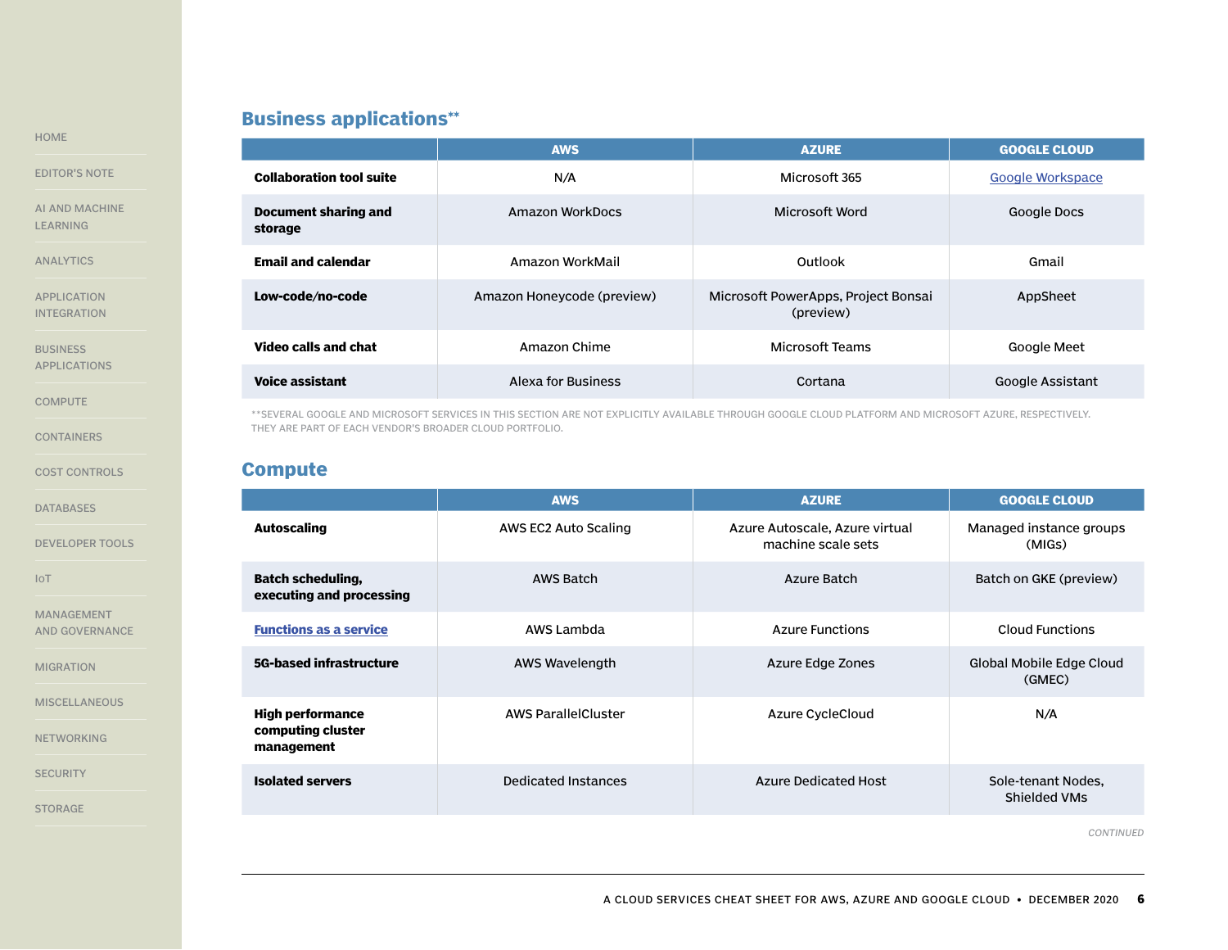# **Business applications\*\***

| <b>Collaboration t</b>         |
|--------------------------------|
| <b>Document sha</b><br>storage |
| <b>Email and cale</b>          |
| Low-code/no-c                  |
| <br>.                          |

**BUSINESS** APPLICATIONS

**COMPUTE** 

**[CONTAINERS](#page-6-0)** 

[COST CONTROLS](#page-7-0)

[DATABASES](#page-7-0)

[DEVELOPER TOOLS](#page-8-0)

[IoT](#page-9-0)

[MANAGEMENT](#page-9-0)  [AND GOVERNANCE](#page-9-0)

[MIGRATION](#page-10-0)

**[MISCELLANEOUS](#page-11-0)** 

[NETWORKING](#page-12-0)

**[SECURITY](#page-13-0)** 

[STORAGE](#page-15-0)

|                                 | <b>AWS</b>                 | <b>AZURE</b>                                     | <b>GOOGLE CLOUD</b> |
|---------------------------------|----------------------------|--------------------------------------------------|---------------------|
| <b>Collaboration tool suite</b> | N/A                        | Microsoft 365                                    | Google Workspace    |
| Document sharing and<br>storage | Amazon WorkDocs            | Microsoft Word                                   | <b>Google Docs</b>  |
| <b>Email and calendar</b>       | Amazon WorkMail            | Outlook                                          | Gmail               |
| Low-code/no-code                | Amazon Honeycode (preview) | Microsoft PowerApps, Project Bonsai<br>(preview) | AppSheet            |
| <b>Video calls and chat</b>     | Amazon Chime               | <b>Microsoft Teams</b>                           | Google Meet         |
| <b>Voice assistant</b>          | <b>Alexa for Business</b>  | Cortana                                          | Google Assistant    |

\*\*SEVERAL GOOGLE AND MICROSOFT SERVICES IN THIS SECTION ARE NOT EXPLICITLY AVAILABLE THROUGH GOOGLE CLOUD PLATFORM AND MICROSOFT AZURE, RESPECTIVELY. THEY ARE PART OF EACH VENDOR'S BROADER CLOUD PORTFOLIO.

### **Compute**

|                                                            | <b>AWS</b>                 | <b>AZURE</b>                                         | <b>GOOGLE CLOUD</b>                |
|------------------------------------------------------------|----------------------------|------------------------------------------------------|------------------------------------|
| <b>Autoscaling</b>                                         | AWS EC2 Auto Scaling       | Azure Autoscale, Azure virtual<br>machine scale sets | Managed instance groups<br>(MIGs)  |
| <b>Batch scheduling,</b><br>executing and processing       | AWS Batch                  | Azure Batch                                          | Batch on GKE (preview)             |
| <b>Functions as a service</b>                              | AWS Lambda                 | <b>Azure Functions</b>                               | Cloud Functions                    |
| 5G-based infrastructure                                    | AWS Wavelength             | Azure Edge Zones                                     | Global Mobile Edge Cloud<br>(GMEC) |
| <b>High performance</b><br>computing cluster<br>management | <b>AWS ParallelCluster</b> | <b>Azure CycleCloud</b>                              | N/A                                |
| <b>Isolated servers</b>                                    | Dedicated Instances        | <b>Azure Dedicated Host</b>                          | Sole-tenant Nodes,<br>Shielded VMs |

*CONTINUED*

<span id="page-5-0"></span>[HOME](#page-0-0)

[EDITOR'S NOTE](#page-1-0)

[AI AND MACHINE](#page-2-0)  [LEARNING](#page-2-0)

[ANALYTICS](#page-3-0)

[APPLICATION](#page-4-0)  [INTEGRATION](#page-4-0)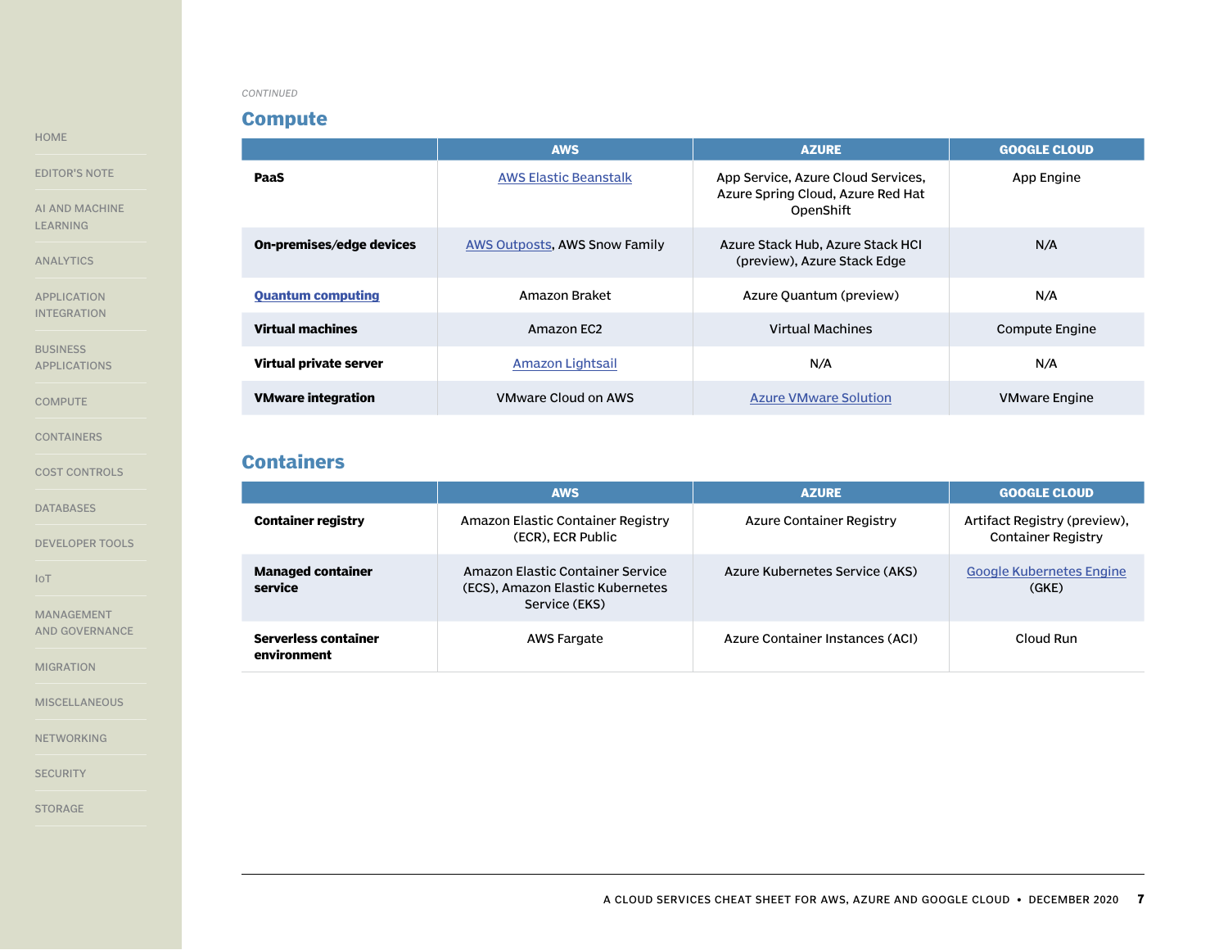### **Compute**

|                           | <b>AWS</b>                    | <b>AZURE</b>                                                                         | <b>GOOGLE CLOUD</b>  |
|---------------------------|-------------------------------|--------------------------------------------------------------------------------------|----------------------|
| PaaS                      | <b>AWS Elastic Beanstalk</b>  | App Service, Azure Cloud Services,<br>Azure Spring Cloud, Azure Red Hat<br>OpenShift | App Engine           |
| On-premises/edge devices  | AWS Outposts, AWS Snow Family | Azure Stack Hub, Azure Stack HCI<br>(preview), Azure Stack Edge                      | N/A                  |
| <b>Quantum computing</b>  | Amazon Braket                 | Azure Quantum (preview)                                                              | N/A                  |
| <b>Virtual machines</b>   | Amazon EC2                    | <b>Virtual Machines</b>                                                              | Compute Engine       |
| Virtual private server    | Amazon Lightsail              | N/A                                                                                  | N/A                  |
| <b>VMware integration</b> | <b>VMware Cloud on AWS</b>    | <b>Azure VMware Solution</b>                                                         | <b>VMware Engine</b> |

### **Containers**

|                                     | <b>AWS</b>                                                                            | <b>AZURE</b>                    | <b>GOOGLE CLOUD</b>                                       |
|-------------------------------------|---------------------------------------------------------------------------------------|---------------------------------|-----------------------------------------------------------|
| <b>Container registry</b>           | Amazon Elastic Container Registry<br>(ECR), ECR Public                                | Azure Container Registry        | Artifact Registry (preview),<br><b>Container Registry</b> |
| <b>Managed container</b><br>service | Amazon Flastic Container Service<br>(ECS), Amazon Elastic Kubernetes<br>Service (EKS) | Azure Kubernetes Service (AKS)  | <b>Google Kubernetes Engine</b><br>(GKE)                  |
| Serverless container<br>environment | AWS Fargate                                                                           | Azure Container Instances (ACI) | Cloud Run                                                 |

<span id="page-6-0"></span>[HOME](#page-0-0)

#### [EDITOR'S NOTE](#page-1-0)

[AI AND MACHINE](#page-2-0)  [LEARNING](#page-2-0)

[ANALYTICS](#page-3-0)

[APPLICATION](#page-4-0)  [INTEGRATION](#page-4-0)

**BUSINESS** [APPLICATIONS](#page-5-0)

**[COMPUTE](#page-5-0)** 

CONTAINERS

[COST CONTROLS](#page-7-0)

[DATABASES](#page-7-0)

[DEVELOPER TOOLS](#page-8-0)

[IoT](#page-9-0)

[MANAGEMENT](#page-9-0)  [AND GOVERNANCE](#page-9-0)

[MIGRATION](#page-10-0)

**[MISCELLANEOUS](#page-11-0)** 

[NETWORKING](#page-12-0)

**[SECURITY](#page-13-0)**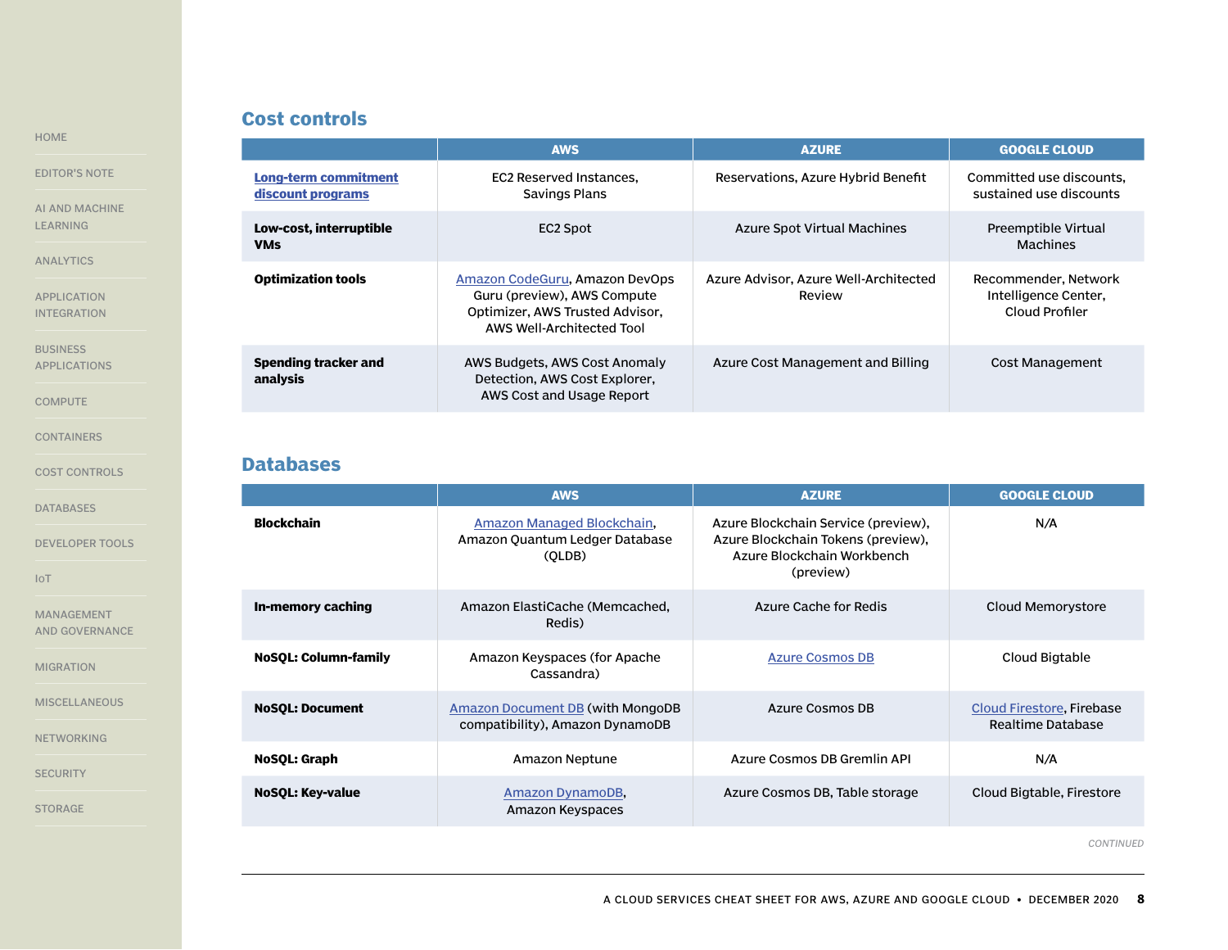# **Cost controls**

<span id="page-7-0"></span>[HOME](#page-0-0)

[EDITOR'S NOTE](#page-1-0)

[AI AND MACHINE](#page-2-0)  [LEARNING](#page-2-0)

[ANALYTICS](#page-3-0)

[APPLICATION](#page-4-0)  [INTEGRATION](#page-4-0)

**BUSINESS** [APPLICATIONS](#page-5-0)

**[COMPUTE](#page-5-0)** 

[CONTAINERS](#page-6-0)

COST CONTROLS

DATABASES

[DEVELOPER TOOLS](#page-8-0)

[IoT](#page-9-0)

[MANAGEMENT](#page-9-0)  [AND GOVERNANCE](#page-9-0)

[MIGRATION](#page-10-0)

**[MISCELLANEOUS](#page-11-0)** 

[NETWORKING](#page-12-0)

**[SECURITY](#page-13-0)** 

[STORAGE](#page-15-0)

|                                                  | <b>AWS</b>                                                                                                                    | <b>AZURE</b>                                    | <b>GOOGLE CLOUD</b>                                            |
|--------------------------------------------------|-------------------------------------------------------------------------------------------------------------------------------|-------------------------------------------------|----------------------------------------------------------------|
| <b>Long-term commitment</b><br>discount programs | <b>EC2 Reserved Instances.</b><br><b>Savings Plans</b>                                                                        | Reservations, Azure Hybrid Benefit              | Committed use discounts.<br>sustained use discounts            |
| Low-cost, interruptible<br><b>VMs</b>            | EC2 Spot                                                                                                                      | Azure Spot Virtual Machines                     | Preemptible Virtual<br>Machines                                |
| <b>Optimization tools</b>                        | Amazon CodeGuru, Amazon DevOps<br>Guru (preview), AWS Compute<br>Optimizer, AWS Trusted Advisor,<br>AWS Well-Architected Tool | Azure Advisor, Azure Well-Architected<br>Review | Recommender, Network<br>Intelligence Center,<br>Cloud Profiler |
| Spending tracker and<br>analysis                 | AWS Budgets, AWS Cost Anomaly<br>Detection, AWS Cost Explorer,<br>AWS Cost and Usage Report                                   | Azure Cost Management and Billing               | Cost Management                                                |

### **Databases**

|                             | <b>AWS</b>                                                             | <b>AZURE</b>                                                                                                         | <b>GOOGLE CLOUD</b>                            |
|-----------------------------|------------------------------------------------------------------------|----------------------------------------------------------------------------------------------------------------------|------------------------------------------------|
| <b>Blockchain</b>           | Amazon Managed Blockchain,<br>Amazon Quantum Ledger Database<br>(OLDB) | Azure Blockchain Service (preview),<br>Azure Blockchain Tokens (preview),<br>Azure Blockchain Workbench<br>(preview) | N/A                                            |
| In-memory caching           | Amazon ElastiCache (Memcached,<br>Redis)                               | Azure Cache for Redis                                                                                                | Cloud Memorystore                              |
| <b>NoSOL: Column-family</b> | Amazon Keyspaces (for Apache<br>Cassandra)                             | <b>Azure Cosmos DB</b>                                                                                               | Cloud Bigtable                                 |
| <b>NoSOL: Document</b>      | Amazon Document DB (with MongoDB<br>compatibility), Amazon DynamoDB    | Azure Cosmos DB                                                                                                      | Cloud Firestore, Firebase<br>Realtime Database |
| <b>NoSOL: Graph</b>         | Amazon Neptune                                                         | Azure Cosmos DB Gremlin API                                                                                          | N/A                                            |
| <b>NoSOL: Key-value</b>     | Amazon DynamoDB,<br>Amazon Keyspaces                                   | Azure Cosmos DB, Table storage                                                                                       | Cloud Bigtable, Firestore                      |

*CONTINUED*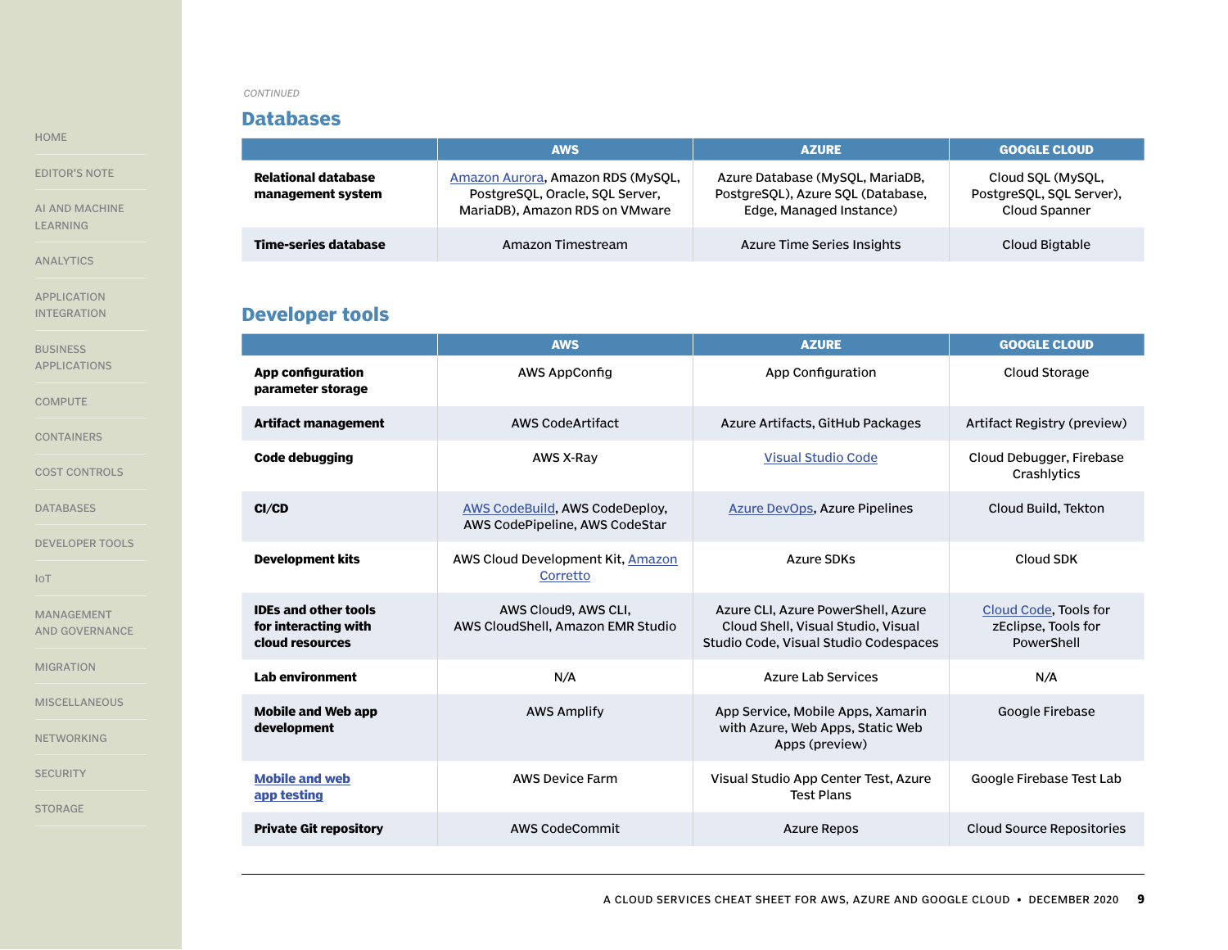### **Databases**

|                                          | <b>AWS</b>                                                                                             | <b>AZURE</b>                                                                                    | <b>GOOGLE CLOUD</b>                                            |
|------------------------------------------|--------------------------------------------------------------------------------------------------------|-------------------------------------------------------------------------------------------------|----------------------------------------------------------------|
| Relational database<br>management system | Amazon Aurora, Amazon RDS (MySOL,<br>PostgreSOL, Oracle, SOL Server,<br>MariaDB), Amazon RDS on VMware | Azure Database (MySQL, MariaDB,<br>PostgreSOL), Azure SOL (Database,<br>Edge, Managed Instance) | Cloud SOL (MySOL,<br>PostgreSOL, SOL Server),<br>Cloud Spanner |
| Time-series database                     | Amazon Timestream                                                                                      | Azure Time Series Insights                                                                      | Cloud Bigtable                                                 |

# **Developer tools**

|                                                                        | <b>AWS</b>                                                       | <b>AZURE</b>                                                                                                      | <b>GOOGLE CLOUD</b>                                        |
|------------------------------------------------------------------------|------------------------------------------------------------------|-------------------------------------------------------------------------------------------------------------------|------------------------------------------------------------|
| <b>App configuration</b><br>parameter storage                          | <b>AWS AppConfig</b>                                             | App Configuration                                                                                                 | Cloud Storage                                              |
| <b>Artifact management</b>                                             | AWS CodeArtifact                                                 | Azure Artifacts, GitHub Packages                                                                                  | Artifact Registry (preview)                                |
| <b>Code debugging</b>                                                  | <b>AWS X-Ray</b>                                                 | <b>Visual Studio Code</b>                                                                                         | Cloud Debugger, Firebase<br>Crashlytics                    |
| CI/CD                                                                  | AWS CodeBuild, AWS CodeDeploy,<br>AWS CodePipeline, AWS CodeStar | <b>Azure DevOps, Azure Pipelines</b>                                                                              | Cloud Build, Tekton                                        |
| <b>Development kits</b>                                                | AWS Cloud Development Kit, Amazon<br>Corretto                    | <b>Azure SDKs</b>                                                                                                 | Cloud SDK                                                  |
| <b>IDEs and other tools</b><br>for interacting with<br>cloud resources | AWS Cloud9, AWS CLI,<br>AWS CloudShell, Amazon EMR Studio        | Azure CLI, Azure PowerShell, Azure<br>Cloud Shell, Visual Studio, Visual<br>Studio Code, Visual Studio Codespaces | Cloud Code, Tools for<br>zEclipse, Tools for<br>PowerShell |
| Lab environment                                                        | N/A                                                              | <b>Azure Lab Services</b>                                                                                         | N/A                                                        |
| Mobile and Web app<br>development                                      | <b>AWS Amplify</b>                                               | App Service, Mobile Apps, Xamarin<br>with Azure, Web Apps, Static Web<br>Apps (preview)                           | Google Firebase                                            |
| <b>Mobile and web</b><br>app testing                                   | <b>AWS Device Farm</b>                                           | Visual Studio App Center Test, Azure<br><b>Test Plans</b>                                                         | Google Firebase Test Lab                                   |
| <b>Private Git repository</b>                                          | AWS CodeCommit                                                   | <b>Azure Repos</b>                                                                                                | <b>Cloud Source Repositories</b>                           |

<span id="page-8-0"></span>[HOME](#page-0-0)

[AI AND MACHINE](#page-2-0)  [LEARNING](#page-2-0)

[ANALYTICS](#page-3-0)

[APPLICATION](#page-4-0)  [INTEGRATION](#page-4-0)

**BUSINESS** [APPLICATIONS](#page-5-0)

**[COMPUTE](#page-5-0)** 

[CONTAINERS](#page-6-0)

[COST CONTROLS](#page-7-0)

[DATABASES](#page-7-0)

DEVELOPER TOOLS

[IoT](#page-9-0)

[MANAGEMENT](#page-9-0)  [AND GOVERNANCE](#page-9-0)

[MIGRATION](#page-10-0)

**[MISCELLANEOUS](#page-11-0)** 

[NETWORKING](#page-12-0)

**[SECURITY](#page-13-0)**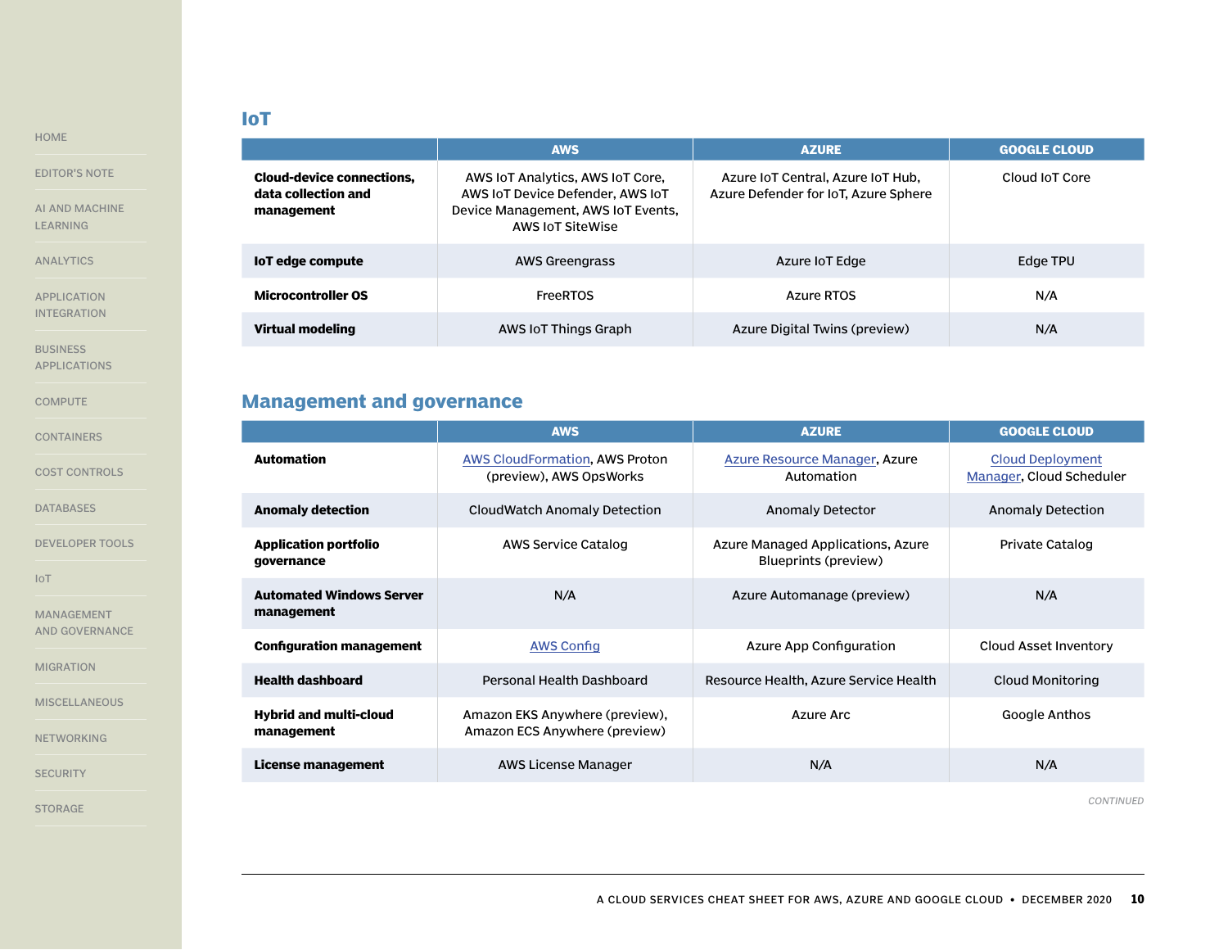# **IoT**

[EDITOR'S NOTE](#page-1-0)

<span id="page-9-0"></span>[HOME](#page-0-0)

[AI AND MACHINE](#page-2-0)  [LEARNING](#page-2-0)

[ANALYTICS](#page-3-0)

[APPLICATION](#page-4-0)  [INTEGRATION](#page-4-0)

**BUSINESS** [APPLICATIONS](#page-5-0)

**[COMPUTE](#page-5-0)** 

[CONTAINERS](#page-6-0)

[COST CONTROLS](#page-7-0)

[DATABASES](#page-7-0)

[DEVELOPER TOOLS](#page-8-0)

IoT

MANAGEMENT AND GOVERNANCE

[MIGRATION](#page-10-0)

**[MISCELLANEOUS](#page-11-0)** 

[NETWORKING](#page-12-0)

**[SECURITY](#page-13-0)** 

[STORAGE](#page-15-0)

|                                                                       | <b>AWS</b>                                                                                                                            | <b>AZURE</b>                                                              | <b>GOOGLE CLOUD</b> |
|-----------------------------------------------------------------------|---------------------------------------------------------------------------------------------------------------------------------------|---------------------------------------------------------------------------|---------------------|
| <b>Cloud-device connections,</b><br>data collection and<br>management | AWS IOT Analytics, AWS IOT Core,<br>AWS IOT Device Defender, AWS IOT<br>Device Management, AWS IoT Events,<br><b>AWS IOT SiteWise</b> | Azure IoT Central, Azure IoT Hub,<br>Azure Defender for IoT, Azure Sphere | Cloud IoT Core      |
| loT edge compute                                                      | AWS Greengrass                                                                                                                        | Azure IoT Edge                                                            | Edge TPU            |
| <b>Microcontroller OS</b>                                             | <b>FreeRTOS</b>                                                                                                                       | Azure RTOS                                                                | N/A                 |
| <b>Virtual modeling</b>                                               | AWS IoT Things Graph                                                                                                                  | Azure Digital Twins (preview)                                             | N/A                 |

# **Management and governance**

|                                               | <b>AWS</b>                                                       | <b>AZURE</b>                                              | <b>GOOGLE CLOUD</b>                                 |
|-----------------------------------------------|------------------------------------------------------------------|-----------------------------------------------------------|-----------------------------------------------------|
| <b>Automation</b>                             | <b>AWS CloudFormation, AWS Proton</b><br>(preview), AWS OpsWorks | Azure Resource Manager, Azure<br>Automation               | <b>Cloud Deployment</b><br>Manager, Cloud Scheduler |
| <b>Anomaly detection</b>                      | CloudWatch Anomaly Detection                                     | <b>Anomaly Detector</b>                                   | Anomaly Detection                                   |
| <b>Application portfolio</b><br>governance    | AWS Service Catalog                                              | Azure Managed Applications, Azure<br>Blueprints (preview) | Private Catalog                                     |
| <b>Automated Windows Server</b><br>management | N/A                                                              | Azure Automanage (preview)                                | N/A                                                 |
| <b>Configuration management</b>               | <b>AWS Config</b>                                                | Azure App Configuration                                   | Cloud Asset Inventory                               |
| <b>Health dashboard</b>                       | Personal Health Dashboard                                        | Resource Health, Azure Service Health                     | Cloud Monitoring                                    |
| <b>Hybrid and multi-cloud</b><br>management   | Amazon EKS Anywhere (preview),<br>Amazon ECS Anywhere (preview)  | Azure Arc                                                 | Google Anthos                                       |
| License management                            | AWS License Manager                                              | N/A                                                       | N/A                                                 |

*CONTINUED*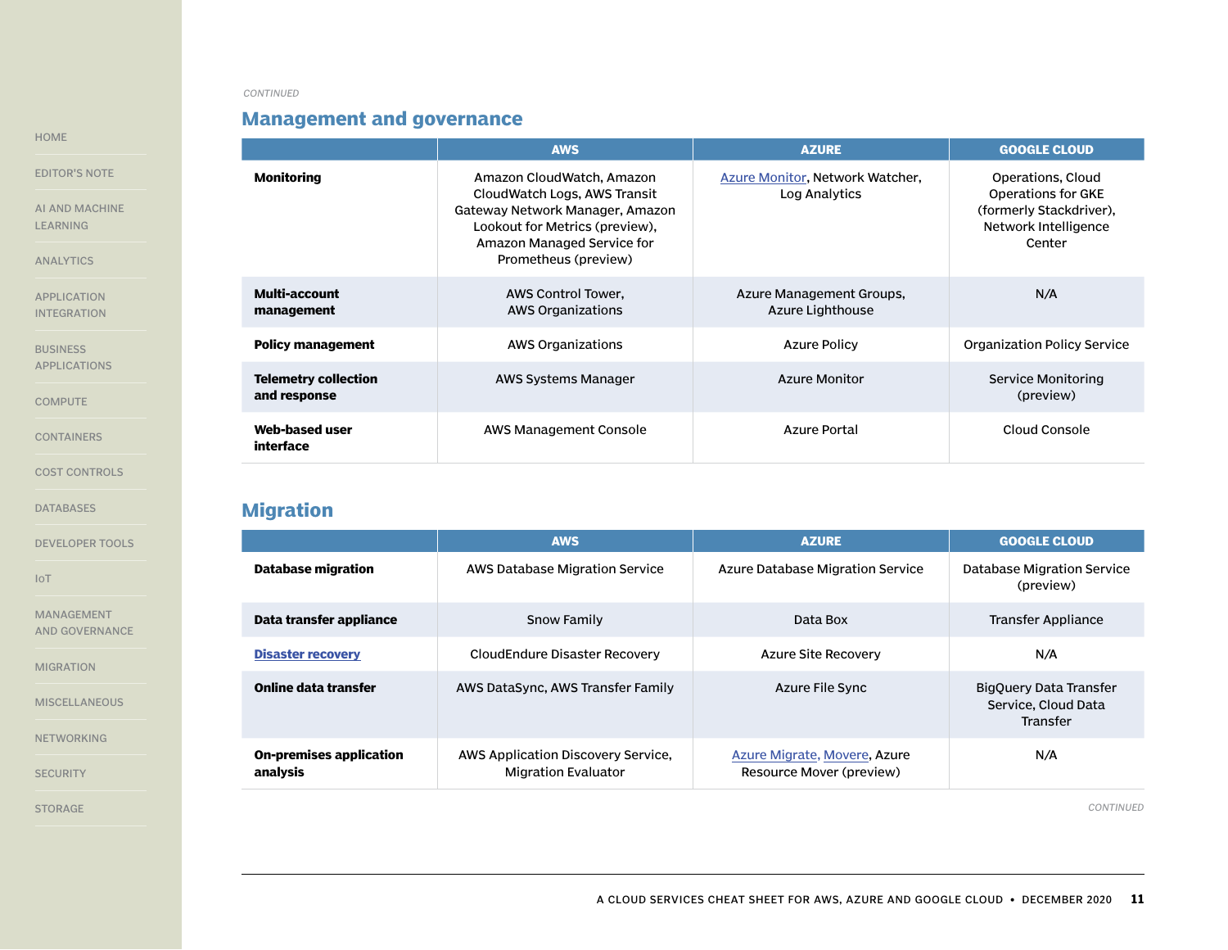# **Management and governance**

|                                             | <b>AWS</b>                                                                                                                                                                           | <b>AZURE</b>                                     | <b>GOOGLE CLOUD</b>                                                                                  |
|---------------------------------------------|--------------------------------------------------------------------------------------------------------------------------------------------------------------------------------------|--------------------------------------------------|------------------------------------------------------------------------------------------------------|
| <b>Monitoring</b>                           | Amazon CloudWatch, Amazon<br>CloudWatch Logs, AWS Transit<br>Gateway Network Manager, Amazon<br>Lookout for Metrics (preview),<br>Amazon Managed Service for<br>Prometheus (preview) | Azure Monitor, Network Watcher,<br>Log Analytics | Operations, Cloud<br>Operations for GKE<br>(formerly Stackdriver),<br>Network Intelligence<br>Center |
| Multi-account<br>management                 | AWS Control Tower,<br>AWS Organizations                                                                                                                                              | Azure Management Groups,<br>Azure Lighthouse     | N/A                                                                                                  |
| <b>Policy management</b>                    | <b>AWS Organizations</b>                                                                                                                                                             | <b>Azure Policy</b>                              | <b>Organization Policy Service</b>                                                                   |
| <b>Telemetry collection</b><br>and response | AWS Systems Manager                                                                                                                                                                  | <b>Azure Monitor</b>                             | <b>Service Monitoring</b><br>(preview)                                                               |
| Web-based user<br><b>interface</b>          | AWS Management Console                                                                                                                                                               | <b>Azure Portal</b>                              | Cloud Console                                                                                        |

**Migration**

|                                            | <b>AWS</b>                                                       | <b>AZURE</b>                                             | <b>GOOGLE CLOUD</b>                                              |
|--------------------------------------------|------------------------------------------------------------------|----------------------------------------------------------|------------------------------------------------------------------|
| <b>Database migration</b>                  | AWS Database Migration Service                                   | Azure Database Migration Service                         | Database Migration Service<br>(preview)                          |
| Data transfer appliance                    | Snow Family                                                      | Data Box                                                 | Transfer Appliance                                               |
| <b>Disaster recovery</b>                   | CloudEndure Disaster Recovery                                    | <b>Azure Site Recovery</b>                               | N/A                                                              |
| Online data transfer                       | AWS DataSync, AWS Transfer Family                                | Azure File Sync                                          | BigQuery Data Transfer<br>Service, Cloud Data<br><b>Transfer</b> |
| <b>On-premises application</b><br>analysis | AWS Application Discovery Service,<br><b>Migration Evaluator</b> | Azure Migrate, Movere, Azure<br>Resource Mover (preview) | N/A                                                              |

*CONTINUED*

#### <span id="page-10-0"></span>[HOME](#page-0-0)

[EDITOR'S NOTE](#page-1-0)

AI AND MACHIN [LEARNING](#page-2-0)

[ANALYTICS](#page-3-0)

[APPLICATION](#page-4-0)  [INTEGRATION](#page-4-0)

**BUSINESS** [APPLICATIONS](#page-5-0)

**[COMPUTE](#page-5-0)** 

[CONTAINERS](#page-6-0)

[COST CONTROLS](#page-7-0)

[DATABASES](#page-7-0)

[DEVELOPER TOOLS](#page-8-0)

[IoT](#page-9-0)

[MANAGEMENT](#page-9-0)  [AND GOVERNANCE](#page-9-0)

MIGRATION

**[MISCELLANEOUS](#page-11-0)** 

[NETWORKING](#page-12-0)

**[SECURITY](#page-13-0)**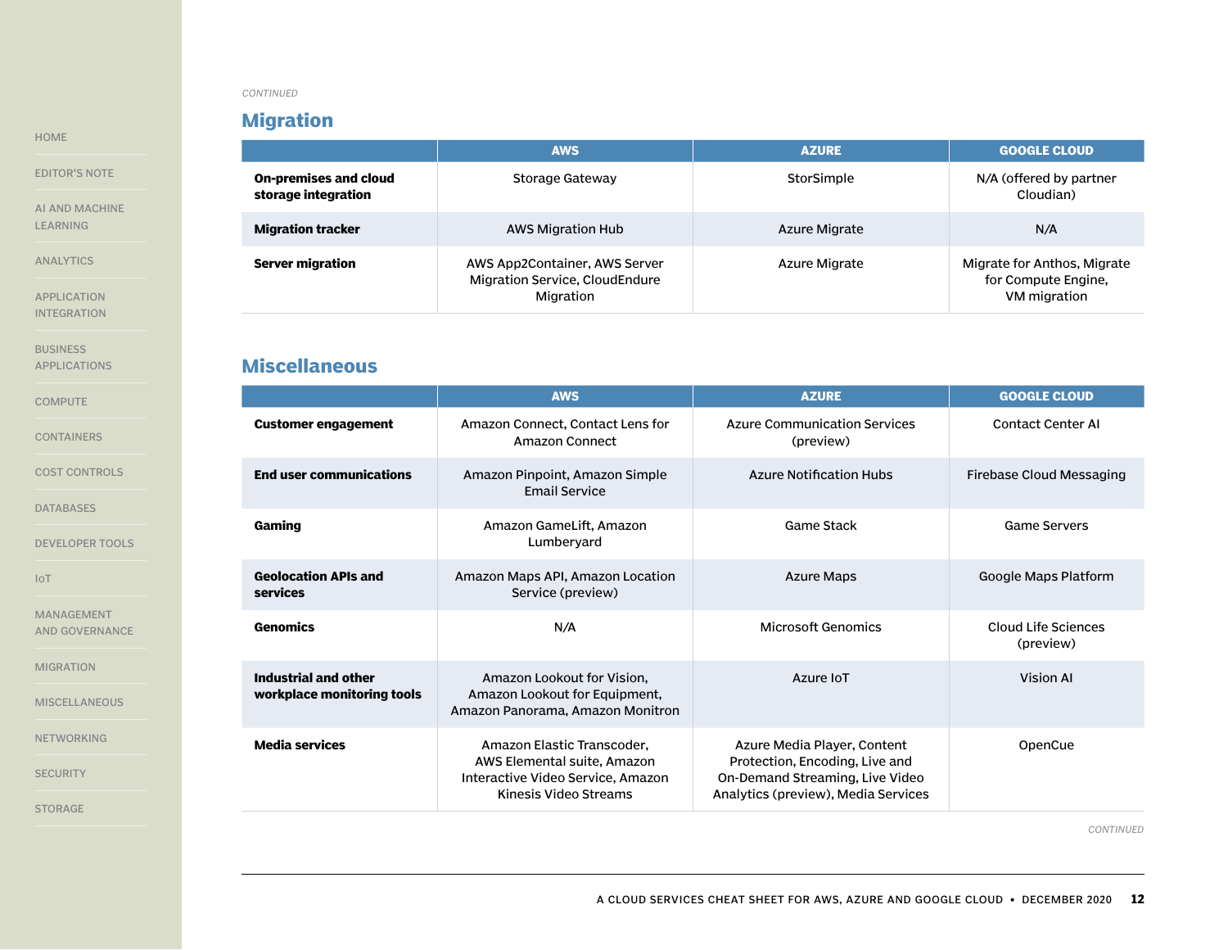# **Migration**

|                                                     | <b>AWS</b>                                                                   | <b>AZURE</b>  | <b>GOOGLE CLOUD</b>                                                |
|-----------------------------------------------------|------------------------------------------------------------------------------|---------------|--------------------------------------------------------------------|
| <b>On-premises and cloud</b><br>storage integration | Storage Gateway                                                              | StorSimple    | N/A (offered by partner<br>Cloudian)                               |
| <b>Migration tracker</b>                            | AWS Migration Hub                                                            | Azure Migrate | N/A                                                                |
| <b>Server migration</b>                             | AWS App2Container, AWS Server<br>Migration Service, CloudEndure<br>Migration | Azure Migrate | Migrate for Anthos, Migrate<br>for Compute Engine,<br>VM migration |

# **Miscellaneous**

|                                                    | <b>AWS</b>                                                                                                              | <b>AZURE</b>                                                                                                                            | <b>GOOGLE CLOUD</b>              |
|----------------------------------------------------|-------------------------------------------------------------------------------------------------------------------------|-----------------------------------------------------------------------------------------------------------------------------------------|----------------------------------|
| <b>Customer engagement</b>                         | Amazon Connect, Contact Lens for<br>Amazon Connect                                                                      | <b>Azure Communication Services</b><br>(preview)                                                                                        | <b>Contact Center AI</b>         |
| <b>End user communications</b>                     | Amazon Pinpoint, Amazon Simple<br><b>Email Service</b>                                                                  | <b>Azure Notification Hubs</b>                                                                                                          | Firebase Cloud Messaging         |
| Gaming                                             | Amazon GameLift, Amazon<br>Lumberyard                                                                                   | Game Stack                                                                                                                              | <b>Game Servers</b>              |
| <b>Geolocation APIs and</b><br>services            | Amazon Maps API, Amazon Location<br>Service (preview)                                                                   | <b>Azure Maps</b>                                                                                                                       | Google Maps Platform             |
| <b>Genomics</b>                                    | N/A                                                                                                                     | Microsoft Genomics                                                                                                                      | Cloud Life Sciences<br>(preview) |
| Industrial and other<br>workplace monitoring tools | Amazon Lookout for Vision,<br>Amazon Lookout for Equipment,<br>Amazon Panorama, Amazon Monitron                         | Azure IoT                                                                                                                               | <b>Vision AI</b>                 |
| <b>Media services</b>                              | Amazon Elastic Transcoder,<br>AWS Elemental suite, Amazon<br>Interactive Video Service, Amazon<br>Kinesis Video Streams | Azure Media Player, Content<br>Protection, Encoding, Live and<br>On-Demand Streaming, Live Video<br>Analytics (preview), Media Services | OpenCue                          |

*CONTINUED*

#### <span id="page-11-0"></span>[HOME](#page-0-0)

[EDITOR'S NOTE](#page-1-0)

[AI AND MACHINE](#page-2-0)  [LEARNING](#page-2-0)

[ANALYTICS](#page-3-0)

[APPLICATION](#page-4-0)  [INTEGRATION](#page-4-0)

**BUSINESS** [APPLICATIONS](#page-5-0)

**[COMPUTE](#page-5-0)** 

[CONTAINERS](#page-6-0)

[COST CONTROLS](#page-7-0)

[DATABASES](#page-7-0)

[DEVELOPER TOOLS](#page-8-0)

[IoT](#page-9-0)

[MANAGEMENT](#page-9-0)  [AND GOVERNANCE](#page-9-0)

[MIGRATION](#page-10-0)

**MISCELLANEOUS** 

[NETWORKING](#page-12-0)

**[SECURITY](#page-13-0)**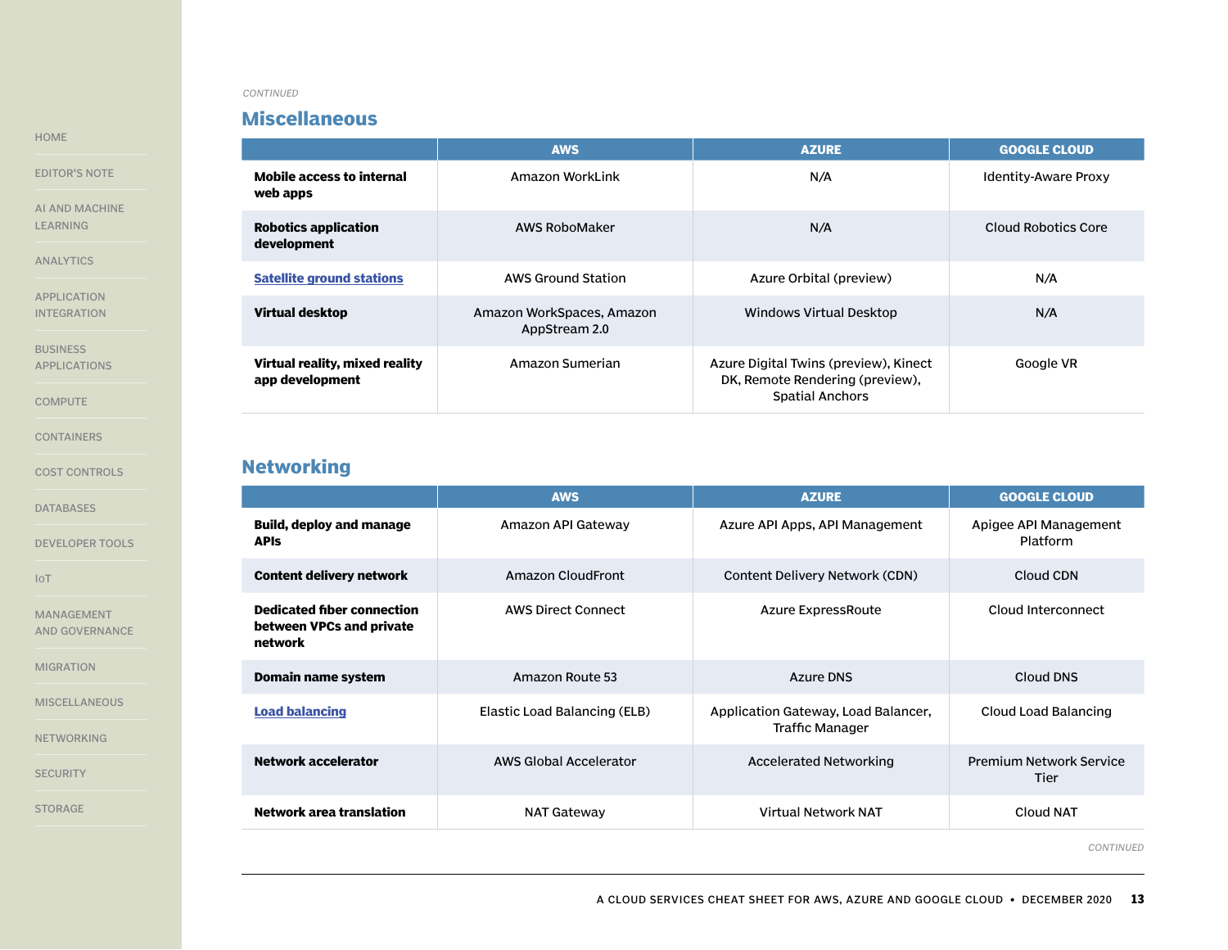### **Miscellaneous**

**AWS AZURE GOOGLE CLOUD Mobile access to internal web apps** Amazon WorkLink **N/A** Identity-Aware Proxy **Robotics application development** AWS RoboMaker N/A Cloud Robotics Core **[Satellite ground stations](https://searchcloudcomputing.techtarget.com/news/252470414/Microsoft-extends-Azure-networking-with-satellite-connections)** AWS Ground Station Azure Orbital (preview) And Azure Orbital (preview) N/A **Virtual desktop Amazon WorkSpaces, Amazon** AppStream 2.0 Windows Virtual Desktop N/A **Virtual reality, mixed reality app development** Amazon Sumerian **Azure Digital Twins (preview), Kinect** DK, Remote Rendering (preview), Spatial Anchors Google VR

### **Networking**

|                                                                          | <b>AWS</b>                   | <b>AZURE</b>                                           | <b>GOOGLE CLOUD</b>                    |
|--------------------------------------------------------------------------|------------------------------|--------------------------------------------------------|----------------------------------------|
| <b>Build, deploy and manage</b><br><b>APIS</b>                           | Amazon API Gateway           | Azure API Apps, API Management                         | Apigee API Management<br>Platform      |
| <b>Content delivery network</b>                                          | Amazon CloudFront            | Content Delivery Network (CDN)                         | Cloud CDN                              |
| <b>Dedicated fiber connection</b><br>between VPCs and private<br>network | <b>AWS Direct Connect</b>    | Azure ExpressRoute                                     | Cloud Interconnect                     |
| Domain name system                                                       | Amazon Route 53              | Azure DNS                                              | Cloud DNS                              |
| <b>Load balancing</b>                                                    | Elastic Load Balancing (ELB) | Application Gateway, Load Balancer,<br>Traffic Manager | Cloud Load Balancing                   |
| <b>Network accelerator</b>                                               | AWS Global Accelerator       | <b>Accelerated Networking</b>                          | <b>Premium Network Service</b><br>Tier |
| Network area translation                                                 | <b>NAT Gateway</b>           | Virtual Network NAT                                    | Cloud NAT                              |

*CONTINUED*

[MIGRATION](#page-10-0)

[MANAGEMENT](#page-9-0)  [AND GOVERNANCE](#page-9-0)

**[MISCELLANEOUS](#page-11-0)** 

NETWORKING

**[SECURITY](#page-13-0)** 

[STORAGE](#page-15-0)

#### <span id="page-12-0"></span>[HOME](#page-0-0)

[EDITOR'S NOTE](#page-1-0)

[AI AND MACHINE](#page-2-0)  [LEARNING](#page-2-0)

[ANALYTICS](#page-3-0)

[APPLICATION](#page-4-0)  [INTEGRATION](#page-4-0)

[BUSINESS](#page-5-0)  [APPLICATIONS](#page-5-0)

**[COMPUTE](#page-5-0)** 

[CONTAINERS](#page-6-0)

[COST CONTROLS](#page-7-0)

[DATABASES](#page-7-0)

[DEVELOPER TOOLS](#page-8-0)

[IoT](#page-9-0)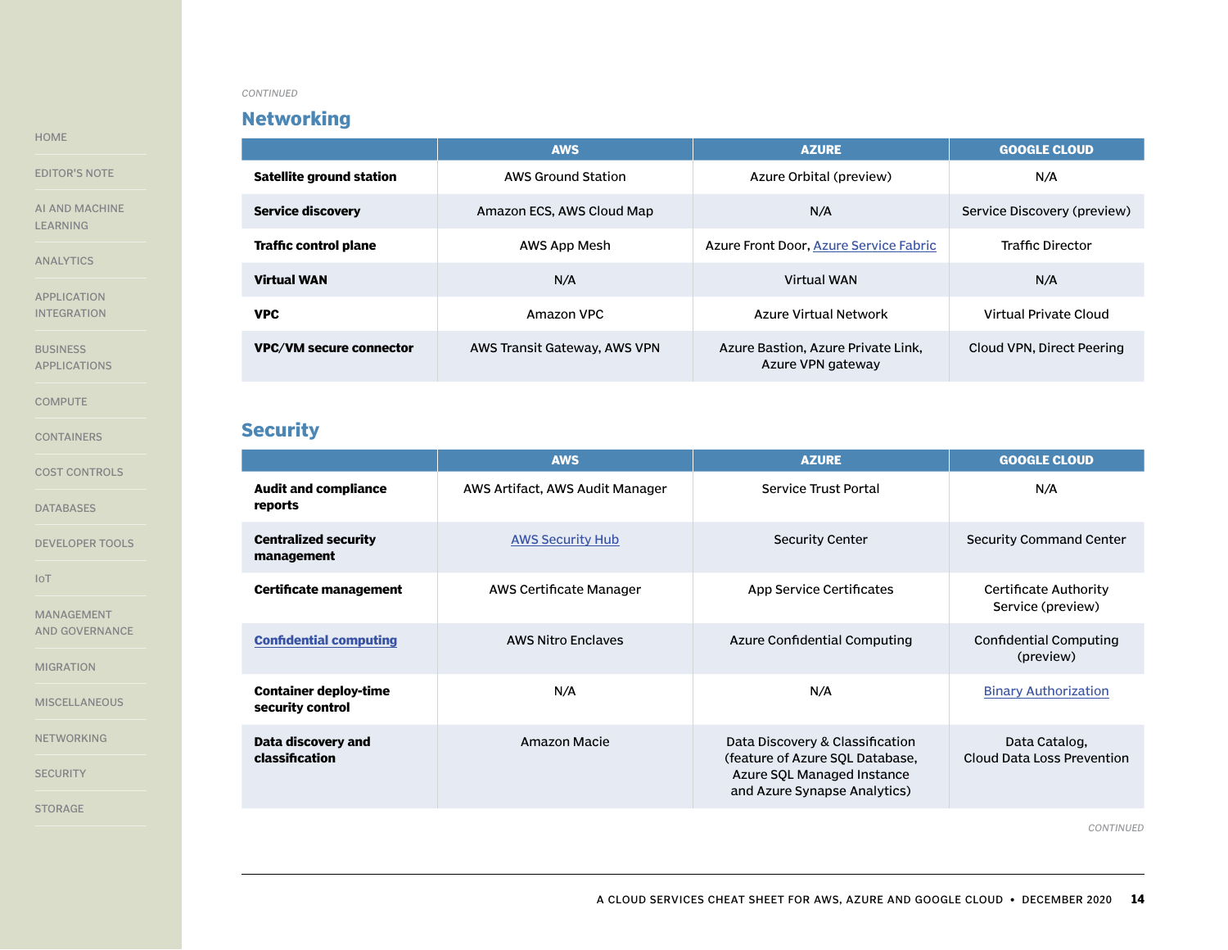# **Networking**

|                                | <b>AWS</b>                   | <b>AZURE</b>                                            | <b>GOOGLE CLOUD</b>         |
|--------------------------------|------------------------------|---------------------------------------------------------|-----------------------------|
| Satellite ground station       | AWS Ground Station           | Azure Orbital (preview)                                 | N/A                         |
| <b>Service discovery</b>       | Amazon ECS, AWS Cloud Map    | N/A                                                     | Service Discovery (preview) |
| <b>Traffic control plane</b>   | AWS App Mesh                 | Azure Front Door, Azure Service Fabric                  | <b>Traffic Director</b>     |
| <b>Virtual WAN</b>             | N/A                          | Virtual WAN                                             | N/A                         |
| <b>VPC</b>                     | Amazon VPC                   | Azure Virtual Network                                   | Virtual Private Cloud       |
| <b>VPC/VM secure connector</b> | AWS Transit Gateway, AWS VPN | Azure Bastion, Azure Private Link,<br>Azure VPN gateway | Cloud VPN. Direct Peering   |

# **Security**

|                                                  | <b>AWS</b>                      | <b>AZURE</b>                                                                                                                     | <b>GOOGLE CLOUD</b>                         |
|--------------------------------------------------|---------------------------------|----------------------------------------------------------------------------------------------------------------------------------|---------------------------------------------|
| <b>Audit and compliance</b><br>reports           | AWS Artifact, AWS Audit Manager | Service Trust Portal                                                                                                             | N/A                                         |
| <b>Centralized security</b><br>management        | <b>AWS Security Hub</b>         | <b>Security Center</b>                                                                                                           | Security Command Center                     |
| Certificate management                           | AWS Certificate Manager         | App Service Certificates                                                                                                         | Certificate Authority<br>Service (preview)  |
| <b>Confidential computing</b>                    | <b>AWS Nitro Enclaves</b>       | Azure Confidential Computing                                                                                                     | Confidential Computing<br>(preview)         |
| <b>Container deploy-time</b><br>security control | N/A                             | N/A                                                                                                                              | <b>Binary Authorization</b>                 |
| Data discovery and<br>classification             | Amazon Macie                    | Data Discovery & Classification<br>(feature of Azure SQL Database,<br>Azure SQL Managed Instance<br>and Azure Synapse Analytics) | Data Catalog,<br>Cloud Data Loss Prevention |

*CONTINUED*

<span id="page-13-0"></span>[HOME](#page-0-0)

[EDITOR'S NOTE](#page-1-0)

[AI AND MACHINE](#page-2-0)  [LEARNING](#page-2-0)

[ANALYTICS](#page-3-0)

[APPLICATION](#page-4-0)  [INTEGRATION](#page-4-0)

**BUSINESS** [APPLICATIONS](#page-5-0)

**[COMPUTE](#page-5-0)** 

[CONTAINERS](#page-6-0)

[COST CONTROLS](#page-7-0)

[DATABASES](#page-7-0)

[DEVELOPER TOOLS](#page-8-0)

[IoT](#page-9-0)

[MANAGEMENT](#page-9-0)  [AND GOVERNANCE](#page-9-0)

[MIGRATION](#page-10-0)

**[MISCELLANEOUS](#page-11-0)** 

[NETWORKING](#page-12-0)

**SECURITY**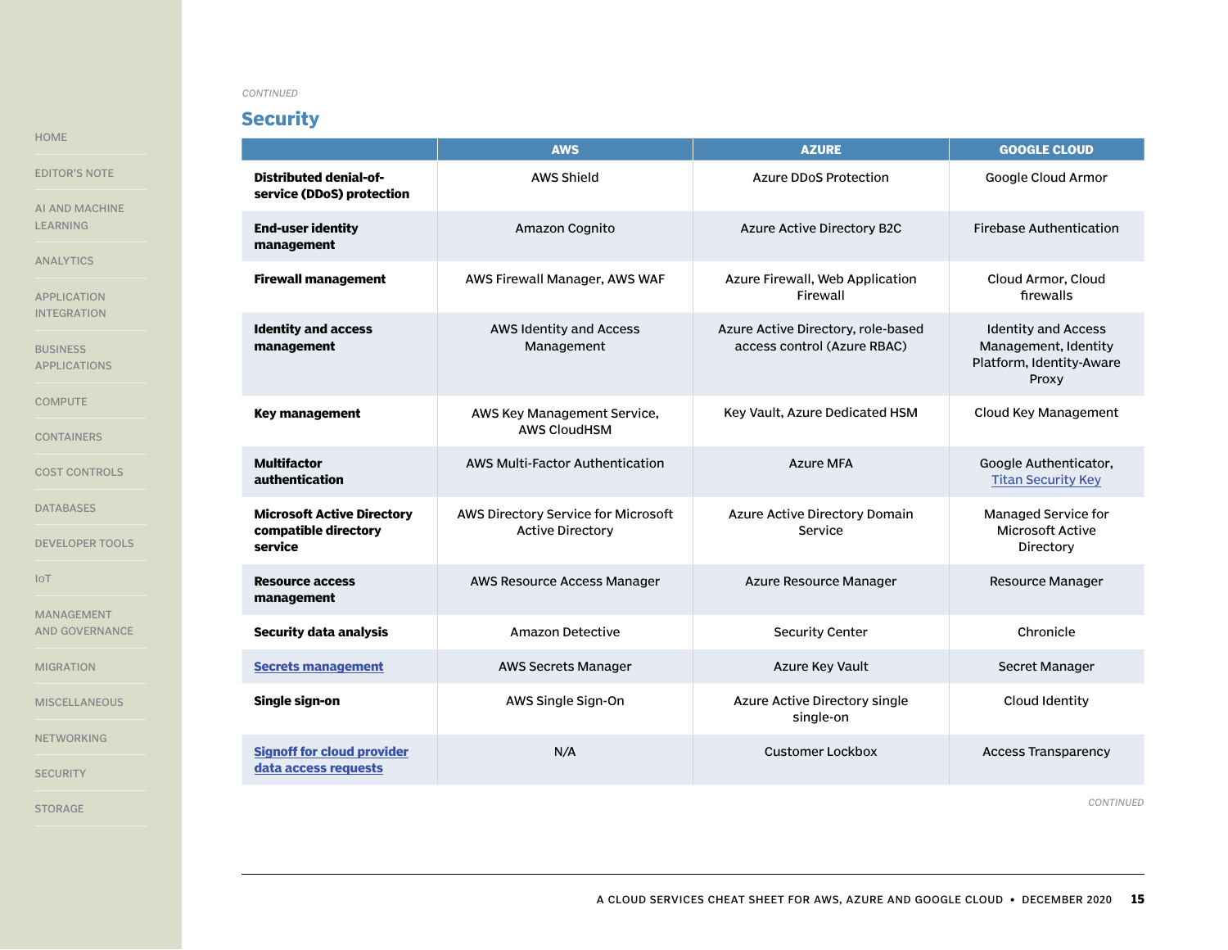# **Security**

[HOME](#page-0-0)

[EDITOR'S NOTE](#page-1-0)

[AI AND MACHINE](#page-2-0)  [LEARNING](#page-2-0)

[ANALYTICS](#page-3-0)

[APPLICATION](#page-4-0)  [INTEGRATION](#page-4-0)

**BUSINESS** [APPLICATIONS](#page-5-0)

**[COMPUTE](#page-5-0)** 

[CONTAINERS](#page-6-0)

[COST CONTROLS](#page-7-0)

[DATABASES](#page-7-0)

[DEVELOPER TOOLS](#page-8-0)

[IoT](#page-9-0)

[MANAGEMENT](#page-9-0)  [AND GOVERNANCE](#page-9-0)

[MIGRATION](#page-10-0)

**[MISCELLANEOUS](#page-11-0)** 

[NETWORKING](#page-12-0)

**[SECURITY](#page-13-0)** 

[STORAGE](#page-15-0)

|                                                                      | <b>AWS</b>                                                     | <b>AZURE</b>                                                      | <b>GOOGLE CLOUD</b>                                                                     |
|----------------------------------------------------------------------|----------------------------------------------------------------|-------------------------------------------------------------------|-----------------------------------------------------------------------------------------|
| Distributed denial-of-<br>service (DDoS) protection                  | <b>AWS Shield</b>                                              | <b>Azure DDoS Protection</b>                                      | Google Cloud Armor                                                                      |
| <b>End-user identity</b><br>management                               | Amazon Cognito                                                 | <b>Azure Active Directory B2C</b>                                 | <b>Firebase Authentication</b>                                                          |
| <b>Firewall management</b>                                           | AWS Firewall Manager, AWS WAF                                  | Azure Firewall, Web Application<br>Firewall                       | Cloud Armor, Cloud<br>firewalls                                                         |
| <b>Identity and access</b><br>management                             | AWS Identity and Access<br>Management                          | Azure Active Directory, role-based<br>access control (Azure RBAC) | <b>Identity and Access</b><br>Management, Identity<br>Platform, Identity-Aware<br>Proxy |
| <b>Key management</b>                                                | AWS Key Management Service,<br><b>AWS CloudHSM</b>             | Key Vault, Azure Dedicated HSM                                    | Cloud Key Management                                                                    |
| <b>Multifactor</b><br>authentication                                 | AWS Multi-Factor Authentication                                | <b>Azure MFA</b>                                                  | Google Authenticator,<br><b>Titan Security Key</b>                                      |
| <b>Microsoft Active Directory</b><br>compatible directory<br>service | AWS Directory Service for Microsoft<br><b>Active Directory</b> | Azure Active Directory Domain<br>Service                          | Managed Service for<br><b>Microsoft Active</b><br>Directory                             |
| <b>Resource access</b><br>management                                 | AWS Resource Access Manager                                    | Azure Resource Manager                                            | <b>Resource Manager</b>                                                                 |
| <b>Security data analysis</b>                                        | Amazon Detective                                               | <b>Security Center</b>                                            | Chronicle                                                                               |
| <b>Secrets management</b>                                            | <b>AWS Secrets Manager</b>                                     | Azure Key Vault                                                   | Secret Manager                                                                          |
| Single sign-on                                                       | AWS Single Sign-On                                             | Azure Active Directory single<br>single-on                        | Cloud Identity                                                                          |
| <b>Signoff for cloud provider</b><br>data access requests            | N/A                                                            | Customer Lockbox                                                  | <b>Access Transparency</b>                                                              |

*CONTINUED*